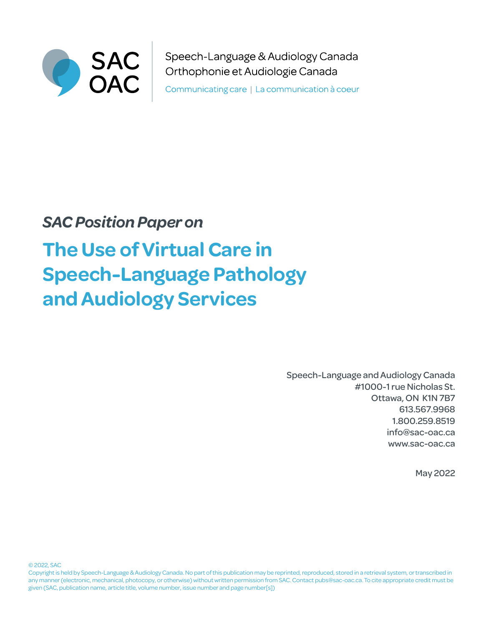

Speech-Language & Audiology Canada Orthophonie et Audiologie Canada

Communicating care | La communication à coeur

# *SAC Position Paper on*

# **The Use of Virtual Care in Speech-Language Pathology and Audiology Services**

Speech-Language and Audiology Canada #1000-1 rue Nicholas St. Ottawa, ON K1N 7B7 613.567.9968 1.800.259.8519 info@sac-oac.ca [www.s](www.caslpa.ca)ac-oac.ca

May 2022

© 2022, SAC

Copyright is held by Speech-Language & Audiology Canada. No part of this publication may be reprinted, reproduced, stored in a retrieval system, or transcribed in any manner (electronic, mechanical, photocopy, or otherwise) without written permission from SAC. Contact pubs@sac-oac.ca. To cite appropriate credit must be given (SAC, publication name, article title, volume number, issue number and page number[s])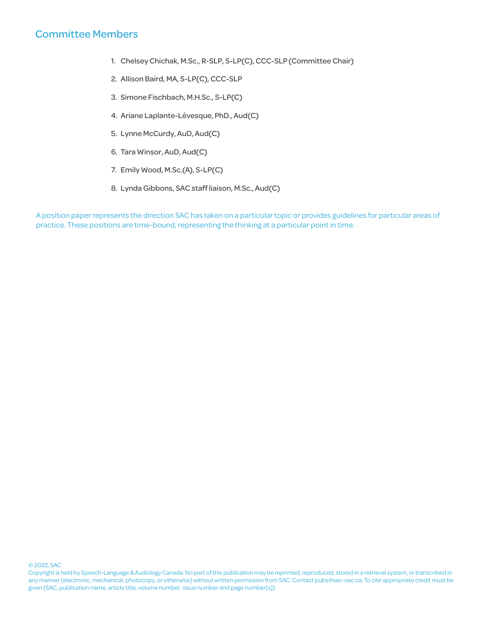# Committee Members

- 1. Chelsey Chichak, M.Sc., R-SLP, S-LP(C), CCC-SLP (Committee Chair)
- 2. Allison Baird, MA, S-LP(C), CCC-SLP
- 3. Simone Fischbach, M.H.Sc., S-LP(C)
- 4. Ariane Laplante-Lévesque, PhD., Aud(C)
- 5. Lynne McCurdy, AuD, Aud(C)
- 6. Tara Winsor, AuD, Aud(C)
- 7. Emily Wood, M.Sc.(A), S-LP(C)
- 8. Lynda Gibbons, SAC staff liaison, M.Sc., Aud(C)

A position paper represents the direction SAC has taken on a particular topic or provides guidelines for particular areas of practice. These positions are time-bound, representing the thinking at a particular point in time.

Copyright is held by Speech-Language & Audiology Canada. No part of this publication may be reprinted, reproduced, stored in a retrieval system, or transcribed in any manner (electronic, mechanical, photocopy, or otherwise) without written permission from SAC. Contact pubs@sac-oac.ca. To cite appropriate credit must be given (SAC, publication name, article title, volume number, issue number and page number[s])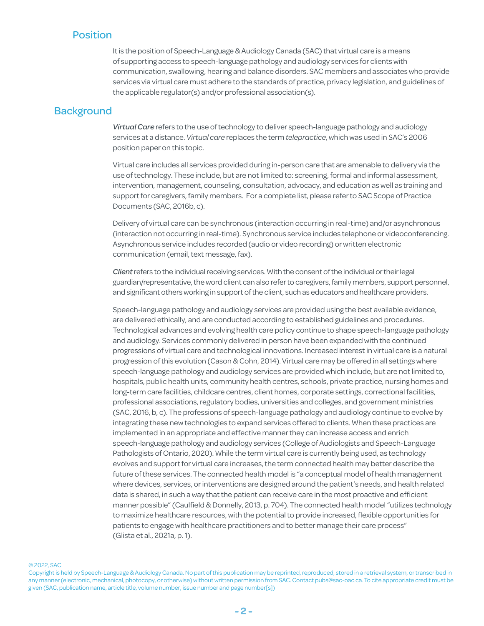# Position

It is the position of Speech-Language & Audiology Canada (SAC) that virtual care is a means of supporting access to speech-language pathology and audiology services for clients with communication, swallowing, hearing and balance disorders. SAC members and associates who provide services via virtual care must adhere to the standards of practice, privacy legislation, and guidelines of the applicable regulator(s) and/or professional association(s).

### **Background**

*Virtual Care* refers to the use of technology to deliver speech-language pathology and audiology services at a distance. *Virtual care* replaces the term *telepractice*, which was used in SAC's 2006 position paper on this topic.

Virtual care includes all services provided during in-person care that are amenable to delivery via the use of technology. These include, but are not limited to: screening, formal and informal assessment, intervention, management, counseling, consultation, advocacy, and education as well as training and support for caregivers, family members. For a complete list, please refer to SAC Scope of Practice Documents (SAC, 2016b, c).

Delivery of virtual care can be synchronous (interaction occurring in real-time) and/or asynchronous (interaction not occurring in real-time). Synchronous service includes telephone or videoconferencing. Asynchronous service includes recorded (audio or video recording) or written electronic communication (email, text message, fax).

*Client* refers to the individual receiving services. With the consent of the individual or their legal guardian/representative, the word client can also refer to caregivers, family members, support personnel, and significant others working in support of the client, such as educators and healthcare providers.

Speech-language pathology and audiology services are provided using the best available evidence, are delivered ethically, and are conducted according to established guidelines and procedures. Technological advances and evolving health care policy continue to shape speech-language pathology and audiology. Services commonly delivered in person have been expanded with the continued progressions of virtual care and technological innovations. Increased interest in virtual care is a natural progression of this evolution (Cason & Cohn, 2014). Virtual care may be offered in all settings where speech-language pathology and audiology services are provided which include, but are not limited to, hospitals, public health units, community health centres, schools, private practice, nursing homes and long-term care facilities, childcare centres, client homes, corporate settings, correctional facilities, professional associations, regulatory bodies, universities and colleges, and government ministries (SAC, 2016, b, c). The professions of speech-language pathology and audiology continue to evolve by integrating these new technologies to expand services offered to clients. When these practices are implemented in an appropriate and effective manner they can increase access and enrich speech-language pathology and audiology services (College of Audiologists and Speech-Language Pathologists of Ontario, 2020). While the term virtual care is currently being used, as technology evolves and support for virtual care increases, the term connected health may better describe the future of these services. The connected health model is "a conceptual model of health management where devices, services, or interventions are designed around the patient's needs, and health related data is shared, in such a way that the patient can receive care in the most proactive and efficient manner possible" (Caulfield & Donnelly, 2013, p. 704). The connected health model "utilizes technology to maximize healthcare resources, with the potential to provide increased, flexible opportunities for patients to engage with healthcare practitioners and to better manage their care process" (Glista et al., 2021a, p. 1).

© 2022, SAC

Copyright is held by Speech-Language & Audiology Canada. No part of this publication may be reprinted, reproduced, stored in a retrieval system, or transcribed in any manner (electronic, mechanical, photocopy, or otherwise) without written permission from SAC. Contact pubs@sac-oac.ca. To cite appropriate credit must be given (SAC, publication name, article title, volume number, issue number and page number[s])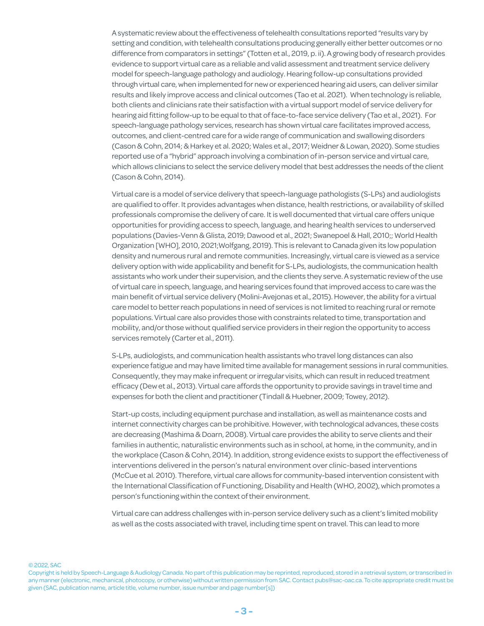A systematic review about the effectiveness of telehealth consultations reported "results vary by setting and condition, with telehealth consultations producing generally either better outcomes or no difference from comparators in settings" (Totten et al., 2019, p. ii). A growing body of research provides evidence to support virtual care as a reliable and valid assessment and treatment service delivery model for speech-language pathology and audiology. Hearing follow-up consultations provided through virtual care, when implemented for new or experienced hearing aid users, can deliver similar results and likely improve access and clinical outcomes (Tao et al. 2021). When technology is reliable, both clients and clinicians rate their satisfaction with a virtual support model of service delivery for hearing aid fitting follow-up to be equal to that of face-to-face service delivery (Tao et al., 2021). For speech-language pathology services, research has shown virtual care facilitates improved access, outcomes, and client-centred care for a wide range of communication and swallowing disorders (Cason & Cohn, 2014; & Harkey et al. 2020; Wales et al., 2017; Weidner & Lowan, 2020). Some studies reported use of a "hybrid" approach involving a combination of in-person service and virtual care, which allows clinicians to select the service delivery model that best addresses the needs of the client (Cason & Cohn, 2014).

Virtual care is a model of service delivery that speech-language pathologists (S-LPs) and audiologists are qualified to offer. It provides advantages when distance, health restrictions, or availability of skilled professionals compromise the delivery of care. It is well documented that virtual care offers unique opportunities for providing access to speech, language, and hearing health services to underserved populations (Davies-Venn & Glista, 2019; Dawood et al., 2021; Swanepoel & Hall, 2010;; World Health Organization [WHO], 2010, 2021;Wolfgang, 2019). This is relevant to Canada given its low population density and numerous rural and remote communities. Increasingly, virtual care is viewed as a service delivery option with wide applicability and benefit for S-LPs, audiologists, the communication health assistants who work under their supervision, and the clients they serve. A systematic review of the use of virtual care in speech, language, and hearing services found that improved access to care was the main benefit of virtual service delivery (Molini-Avejonas et al., 2015). However, the ability for a virtual care model to better reach populations in need of services is not limited to reaching rural or remote populations. Virtual care also provides those with constraints related to time, transportation and mobility, and/or those without qualified service providers in their region the opportunity to access services remotely (Carter et al., 2011).

S-LPs, audiologists, and communication health assistants who travel long distances can also experience fatigue and may have limited time available for management sessions in rural communities. Consequently, they may make infrequent or irregular visits, which can result in reduced treatment efficacy (Dew et al., 2013). Virtual care affords the opportunity to provide savings in travel time and expenses for both the client and practitioner (Tindall & Huebner, 2009; Towey, 2012).

Start-up costs, including equipment purchase and installation, as well as maintenance costs and internet connectivity charges can be prohibitive. However, with technological advances, these costs are decreasing (Mashima & Doarn, 2008). Virtual care provides the ability to serve clients and their families in authentic, naturalistic environments such as in school, at home, in the community, and in the workplace (Cason & Cohn, 2014). In addition, strong evidence exists to support the effectiveness of interventions delivered in the person's natural environment over clinic-based interventions (McCue et al. 2010). Therefore, virtual care allows for community-based intervention consistent with the International Classification of Functioning, Disability and Health (WHO, 2002), which promotes a person's functioning within the context of their environment.

Virtual care can address challenges with in-person service delivery such as a client's limited mobility as well as the costs associated with travel, including time spent on travel. This can lead to more

Copyright is held by Speech-Language & Audiology Canada. No part of this publication may be reprinted, reproduced, stored in a retrieval system, or transcribed in any manner (electronic, mechanical, photocopy, or otherwise) without written permission from SAC. Contact pubs@sac-oac.ca. To cite appropriate credit must be given (SAC, publication name, article title, volume number, issue number and page number[s])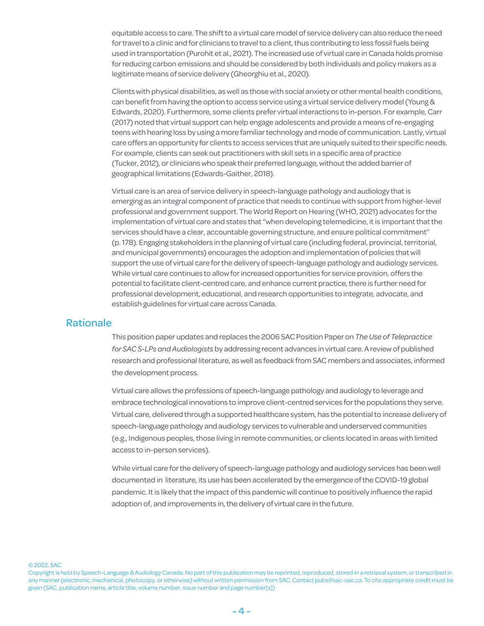equitable access to care. The shift to a virtual care model of service delivery can also reduce the need for travel to a clinic and for clinicians to travel to a client, thus contributing to less fossil fuels being used in transportation (Purohit et al., 2021). The increased use of virtual care in Canada holds promise for reducing carbon emissions and should be considered by both individuals and policy makers as a legitimate means of service delivery (Gheorghiu et al., 2020).

Clients with physical disabilities, as well as those with social anxiety or other mental health conditions, can benefit from having the option to access service using a virtual service delivery model (Young & Edwards, 2020). Furthermore, some clients prefer virtual interactions to in-person. For example, Carr (2017) noted that virtual support can help engage adolescents and provide a means of re-engaging teens with hearing loss by using a more familiar technology and mode of communication. Lastly, virtual care offers an opportunity for clients to access services that are uniquely suited to their specific needs. For example, clients can seek out practitioners with skill sets in a specific area of practice (Tucker, 2012), or clinicians who speak their preferred language, without the added barrier of geographical limitations (Edwards-Gaither, 2018).

Virtual care is an area of service delivery in speech-language pathology and audiology that is emerging as an integral component of practice that needs to continue with support from higher-level professional and government support. The World Report on Hearing (WHO, 2021) advocates for the implementation of virtual care and states that "when developing telemedicine, it is important that the services should have a clear, accountable governing structure, and ensure political commitment" (p. 178). Engaging stakeholders in the planning of virtual care (including federal, provincial, territorial, and municipal governments) encourages the adoption and implementation of policies that will support the use of virtual care for the delivery of speech-language pathology and audiology services. While virtual care continues to allow for increased opportunities for service provision, offers the potential to facilitate client-centred care, and enhance current practice, there is further need for professional development, educational, and research opportunities to integrate, advocate, and establish guidelines for virtual care across Canada.

## Rationale

This position paper updates and replaces the 2006 SAC Position Paper on *The Use of Telepractice for SAC S-LPs and Audiologists* by addressing recent advances in virtual care. A review of published research and professional literature, as well as feedback from SAC members and associates, informed the development process.

Virtual care allows the professions of speech-language pathology and audiology to leverage and embrace technological innovations to improve client-centred services for the populations they serve. Virtual care, delivered through a supported healthcare system, has the potential to increase delivery of speech-language pathology and audiology services to vulnerable and underserved communities (e.g., Indigenous peoples, those living in remote communities, or clients located in areas with limited access to in-person services).

While virtual care for the delivery of speech-language pathology and audiology services has been well documented in literature, its use has been accelerated by the emergence of the COVID-19 global pandemic. It is likely that the impact of this pandemic will continue to positively influence the rapid adoption of, and improvements in, the delivery of virtual care in the future.

Copyright is held by Speech-Language & Audiology Canada. No part of this publication may be reprinted, reproduced, stored in a retrieval system, or transcribed in any manner (electronic, mechanical, photocopy, or otherwise) without written permission from SAC. Contact pubs@sac-oac.ca. To cite appropriate credit must be given (SAC, publication name, article title, volume number, issue number and page number[s])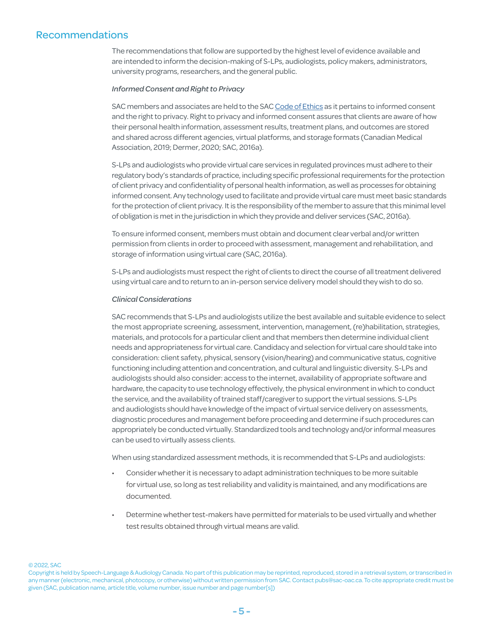# Recommendations

The recommendations that follow are supported by the highest level of evidence available and are intended to inform the decision-making of S-LPs, audiologists, policy makers, administrators, university programs, researchers, and the general public.

#### *Informed Consent and Right to Privacy*

SAC members and associates are held to the SAC [Code of Ethics](https://www.sac-oac.ca/sites/default/files/resources/2016_sac_Code_of_Ethics_en.pdf) as it pertains to informed consent and the right to privacy. Right to privacy and informed consent assures that clients are aware of how their personal health information, assessment results, treatment plans, and outcomes are stored and shared across different agencies, virtual platforms, and storage formats (Canadian Medical Association, 2019; Dermer, 2020; SAC, 2016a).

S-LPs and audiologists who provide virtual care services in regulated provinces must adhere to their regulatory body's standards of practice, including specific professional requirements for the protection of client privacy and confidentiality of personal health information, as well as processes for obtaining informed consent. Any technology used to facilitate and provide virtual care must meet basic standards for the protection of client privacy. It is the responsibility of the member to assure that this minimal level of obligation is met in the jurisdiction in which they provide and deliver services (SAC, 2016a).

To ensure informed consent, members must obtain and document clear verbal and/or written permission from clients in order to proceed with assessment, management and rehabilitation, and storage of information using virtual care (SAC, 2016a).

S-LPs and audiologists must respect the right of clients to direct the course of all treatment delivered using virtual care and to return to an in-person service delivery model should they wish to do so.

#### *Clinical Considerations*

SAC recommends that S-LPs and audiologists utilize the best available and suitable evidence to select the most appropriate screening, assessment, intervention, management, (re)habilitation, strategies, materials, and protocols for a particular client and that members then determine individual client needs and appropriateness for virtual care. Candidacy and selection for virtual care should take into consideration: client safety, physical, sensory (vision/hearing) and communicative status, cognitive functioning including attention and concentration, and cultural and linguistic diversity. S-LPs and audiologists should also consider: access to the internet, availability of appropriate software and hardware, the capacity to use technology effectively, the physical environment in which to conduct the service, and the availability of trained staff/caregiver to support the virtual sessions. S-LPs and audiologists should have knowledge of the impact of virtual service delivery on assessments, diagnostic procedures and management before proceeding and determine if such procedures can appropriately be conducted virtually. Standardized tools and technology and/or informal measures can be used to virtually assess clients.

When using standardized assessment methods, it is recommended that S-LPs and audiologists:

- Consider whether it is necessary to adapt administration techniques to be more suitable for virtual use, so long as test reliability and validity is maintained, and any modifications are documented.
- Determine whether test-makers have permitted for materials to be used virtually and whether test results obtained through virtual means are valid.

Copyright is held by Speech-Language & Audiology Canada. No part of this publication may be reprinted, reproduced, stored in a retrieval system, or transcribed in any manner (electronic, mechanical, photocopy, or otherwise) without written permission from SAC. Contact pubs@sac-oac.ca. To cite appropriate credit must be given (SAC, publication name, article title, volume number, issue number and page number[s])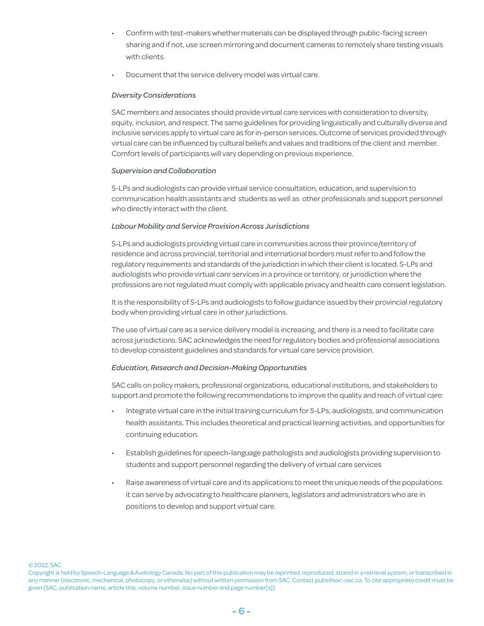- Confirm with test-makers whether materials can be displayed through public-facing screen sharing and if not, use screen mirroring and document cameras to remotely share testing visuals with clients.
- Document that the service delivery model was virtual care.

#### *Diversity Considerations*

SAC members and associates should provide virtual care services with consideration to diversity, equity, inclusion, and respect. The same guidelines for providing linguistically and culturally diverse and inclusive services apply to virtual care as for in-person services. Outcome of services provided through virtual care can be influenced by cultural beliefs and values and traditions of the client and member. Comfort levels of participants will vary depending on previous experience.

#### *Supervision and Collaboration*

S-LPs and audiologists can provide virtual service consultation, education, and supervision to communication health assistants and students as well as other professionals and support personnel who directly interact with the client.

#### *Labour Mobility and Service Provision Across Jurisdictions*

S-LPs and audiologists providing virtual care in communities across their province/territory of residence and across provincial, territorial and international borders must refer to and follow the regulatory requirements and standards of the jurisdiction in which their client is located. S-LPs and audiologists who provide virtual care services in a province or territory, or jurisdiction where the professions are not regulated must comply with applicable privacy and health care consent legislation.

It is the responsibility of S-LPs and audiologists to follow guidance issued by their provincial regulatory body when providing virtual care in other jurisdictions.

The use of virtual care as a service delivery model is increasing, and there is a need to facilitate care across jurisdictions. SAC acknowledges the need for regulatory bodies and professional associations to develop consistent guidelines and standards for virtual care service provision.

#### *Education, Research and Decision-Making Opportunities*

SAC calls on policy makers, professional organizations, educational institutions, and stakeholders to support and promote the following recommendations to improve the quality and reach of virtual care:

- Integrate virtual care in the initial training curriculum for S-LPs, audiologists, and communication health assistants. This includes theoretical and practical learning activities, and opportunities for continuing education.
- Establish guidelines for speech-language pathologists and audiologists providing supervision to students and support personnel regarding the delivery of virtual care services
- Raise awareness of virtual care and its applications to meet the unique needs of the populations it can serve by advocating to healthcare planners, legislators and administrators who are in positions to develop and support virtual care.

Copyright is held by Speech-Language & Audiology Canada. No part of this publication may be reprinted, reproduced, stored in a retrieval system, or transcribed in any manner (electronic, mechanical, photocopy, or otherwise) without written permission from SAC. Contact pubs@sac-oac.ca. To cite appropriate credit must be given (SAC, publication name, article title, volume number, issue number and page number[s])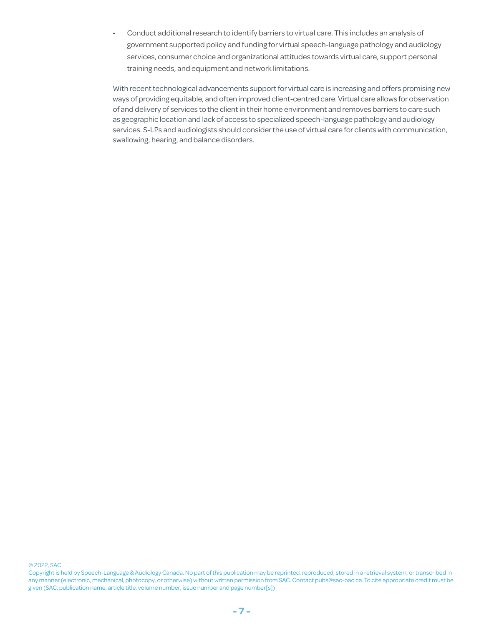• Conduct additional research to identify barriers to virtual care. This includes an analysis of government supported policy and funding for virtual speech-language pathology and audiology services, consumer choice and organizational attitudes towards virtual care, support personal training needs, and equipment and network limitations.

With recent technological advancements support for virtual care is increasing and offers promising new ways of providing equitable, and often improved client-centred care. Virtual care allows for observation of and delivery of services to the client in their home environment and removes barriers to care such as geographic location and lack of access to specialized speech-language pathology and audiology services. S-LPs and audiologists should consider the use of virtual care for clients with communication, swallowing, hearing, and balance disorders.

Copyright is held by Speech-Language & Audiology Canada. No part of this publication may be reprinted, reproduced, stored in a retrieval system, or transcribed in any manner (electronic, mechanical, photocopy, or otherwise) without written permission from SAC. Contact pubs@sac-oac.ca. To cite appropriate credit must be given (SAC, publication name, article title, volume number, issue number and page number[s])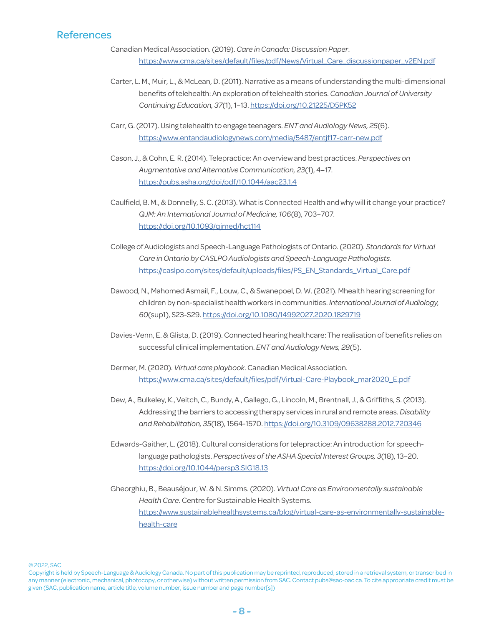# References

- Canadian Medical Association. (2019). *Care in Canada: Discussion Paper*. [https://www.cma.ca/sites/default/files/pdf/News/Virtual\\_Care\\_discussionpaper\\_v2EN.pdf](https://www.cma.ca/sites/default/files/pdf/News/Virtual_Care_discussionpaper_v2EN.pdf)
- Carter, L. M., Muir, L., & McLean, D. (2011). Narrative as a means of understanding the multi-dimensional benefits of telehealth: An exploration of telehealth stories. *Canadian Journal of University Continuing Education, 37*(1), 1–13. [https://doi.org/10.21225/D5PK52](https://journals.library.ualberta.ca/cjuce-rcepu/index.php/cjuce-rcepu/article/view/10474)
- Carr, G. (2017). Using telehealth to engage teenagers. *ENT and Audiology News, 25*(6). <https://www.entandaudiologynews.com/media/5487/entjf17-carr-new.pdf>
- Cason, J., & Cohn, E. R. (2014). Telepractice: An overview and best practices. *Perspectives on Augmentative and Alternative Communication, 23*(1), 4–17. <https://pubs.asha.org/doi/pdf/10.1044/aac23.1.4>
- Caulfield, B. M., & Donnelly, S. C. (2013). What is Connected Health and why will it change your practice? *QJM: An International Journal of Medicine, 106*(8), 703–707. <https://doi.org/10.1093/qjmed/hct114>
- College of Audiologists and Speech-Language Pathologists of Ontario. (2020). *Standards for Virtual Care in Ontario by CASLPO Audiologists and Speech-Language Pathologists.* [https://caslpo.com/sites/default/uploads/files/PS\\_EN\\_Standards\\_Virtual\\_Care.pdf](https://caslpo.com/sites/default/uploads/files/PS_EN_Standards_Virtual_Care.pdf)
- Dawood, N., Mahomed Asmail, F., Louw, C., & Swanepoel, D. W. (2021). Mhealth hearing screening for children by non-specialist health workers in communities. *International Journal of Audiology, 60*(sup1), S23-S29.<https://doi.org/10.1080/14992027.2020.1829719>
- Davies-Venn, E. & Glista, D. (2019). Connected hearing healthcare: The realisation of benefits relies on successful clinical implementation. *ENT and Audiology News, 28*(5).
- Dermer, M. (2020). *Virtual care playbook*. Canadian Medical Association. [https://www.cma.ca/sites/default/files/pdf/Virtual-Care-Playbook\\_mar2020\\_E.pdf](https://www.cma.ca/sites/default/files/pdf/Virtual-Care-Playbook_mar2020_E.pdf
)
- Dew, A., Bulkeley, K., Veitch, C., Bundy, A., Gallego, G., Lincoln, M., Brentnall, J., & Griffiths, S. (2013). Addressing the barriers to accessing therapy services in rural and remote areas. *Disability and Rehabilitation, 35*(18), 1564-1570.<https://doi.org/10.3109/09638288.2012.720346>
- Edwards-Gaither, L. (2018). Cultural considerations for telepractice: An introduction for speechlanguage pathologists. *Perspectives of the ASHA Special Interest Groups, 3*(18), 13–20. <https://doi.org/10.1044/persp3.SIG18.13>
- Gheorghiu, B., Beauséjour, W. & N. Simms. (2020). *Virtual Care as Environmentally sustainable Health Care*. Centre for Sustainable Health Systems. [https://www.sustainablehealthsystems.ca/blog/virtual-care-as-environmentally-sustainable](https://www.sustainablehealthsystems.ca/blog/virtual-care-as-environmentally-sustainable-health-care)[health-care](https://www.sustainablehealthsystems.ca/blog/virtual-care-as-environmentally-sustainable-health-care)

Copyright is held by Speech-Language & Audiology Canada. No part of this publication may be reprinted, reproduced, stored in a retrieval system, or transcribed in any manner (electronic, mechanical, photocopy, or otherwise) without written permission from SAC. Contact pubs@sac-oac.ca. To cite appropriate credit must be given (SAC, publication name, article title, volume number, issue number and page number[s])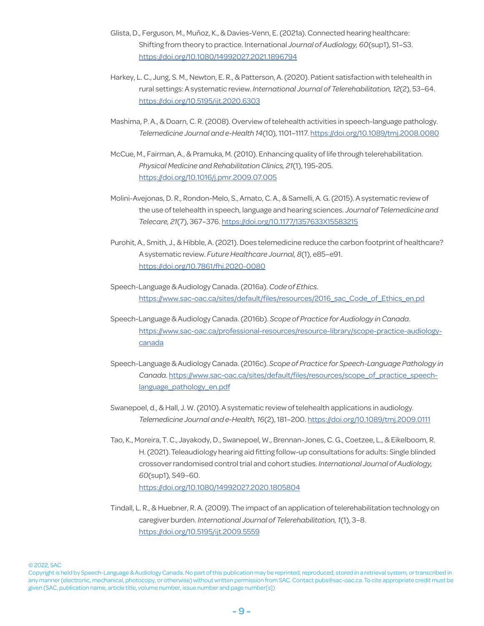- Glista, D., Ferguson, M., Muñoz, K., & Davies-Venn, E. (2021a). Connected hearing healthcare: Shifting from theory to practice. International *Journal of Audiology, 60*(sup1), S1–S3. <https://doi.org/10.1080/14992027.2021.1896794>
- Harkey, L. C., Jung, S. M., Newton, E. R., & Patterson, A. (2020). Patient satisfaction with telehealth in rural settings: A systematic review. *International Journal of Telerehabilitation, 12*(2), 53–64. <https://doi.org/10.5195/ijt.2020.6303>
- Mashima, P. A., & Doarn, C. R. (2008). Overview of telehealth activities in speech-language pathology. *Telemedicine Journal and e-Health 14*(10), 1101–1117. <https://doi.org/10.1089/tmj.2008.0080>
- McCue, M., Fairman, A., & Pramuka, M. (2010). Enhancing quality of life through telerehabilitation. *Physical Medicine and Rehabilitation Clinics, 21*(1), 195-205. [https://doi.org/10.1016/j.pmr.2009.07.005](https://doi.org/10.1016/j.pmr.2009.07.005
)
- Molini-Avejonas, D. R., Rondon-Melo, S., Amato, C. A., & Samelli, A. G. (2015). A systematic review of the use of telehealth in speech, language and hearing sciences. *Journal of Telemedicine and Telecare, 21*(7), 367–376. <https://doi.org/10.1177/1357633X15583215>
- Purohit, A., Smith, J., & Hibble, A. (2021). Does telemedicine reduce the carbon footprint of healthcare? A systematic review. *Future Healthcare Journal, 8*(1), e85–e91. [https://doi.org/10.7861/fhj.2020-0080](https://doi.org/10.7861/fhj.2020-0080
)
- Speech-Language & Audiology Canada. (2016a). *Code of Ethics*. [https://www.sac-oac.ca/sites/default/files/resources/2016\\_sac\\_Code\\_of\\_Ethics\\_en.pd](https://www.sac-oac.ca/sites/default/files/resources/2016_sac_Code_of_Ethics_en.pd)
- Speech-Language & Audiology Canada. (2016b). *Scope of Practice for Audiology in Canada*. [https://www.sac-oac.ca/professional-resources/resource-library/scope-practice-audiology](https://www.sac-oac.ca/professional-resources/resource-library/scope-practice-audiology-canada)[canada](https://www.sac-oac.ca/professional-resources/resource-library/scope-practice-audiology-canada)
- Speech-Language & Audiology Canada. (2016c). *Scope of Practice for Speech-Language Pathology in Canada*. [https://www.sac-oac.ca/sites/default/files/resources/scope\\_of\\_practice\\_speech](https://www.sac-oac.ca/sites/default/files/resources/scope_of_practice_speech-language_pathology_en.pdf)[language\\_pathology\\_en.pdf](https://www.sac-oac.ca/sites/default/files/resources/scope_of_practice_speech-language_pathology_en.pdf)
- Swanepoel, d., & Hall, J. W. (2010). A systematic review of telehealth applications in audiology. *Telemedicine Journal and e-Health, 16*(2), 181–200.<https://doi.org/10.1089/tmj.2009.0111>
- Tao, K., Moreira, T. C., Jayakody, D., Swanepoel, W., Brennan-Jones, C. G., Coetzee, L., & Eikelboom, R. H. (2021). Teleaudiology hearing aid fitting follow-up consultations for adults: Single blinded crossover randomised control trial and cohort studies. *International Journal of Audiology, 60*(sup1), S49–60. <https://doi.org/10.1080/14992027.2020.1805804>
- Tindall, L. R., & Huebner, R. A. (2009). The impact of an application of telerehabilitation technology on caregiver burden. *International Journal of Telerehabilitation, 1*(1), 3–8. <https://doi.org/10.5195/ijt.2009.5559>

Copyright is held by Speech-Language & Audiology Canada. No part of this publication may be reprinted, reproduced, stored in a retrieval system, or transcribed in any manner (electronic, mechanical, photocopy, or otherwise) without written permission from SAC. Contact pubs@sac-oac.ca. To cite appropriate credit must be given (SAC, publication name, article title, volume number, issue number and page number[s])